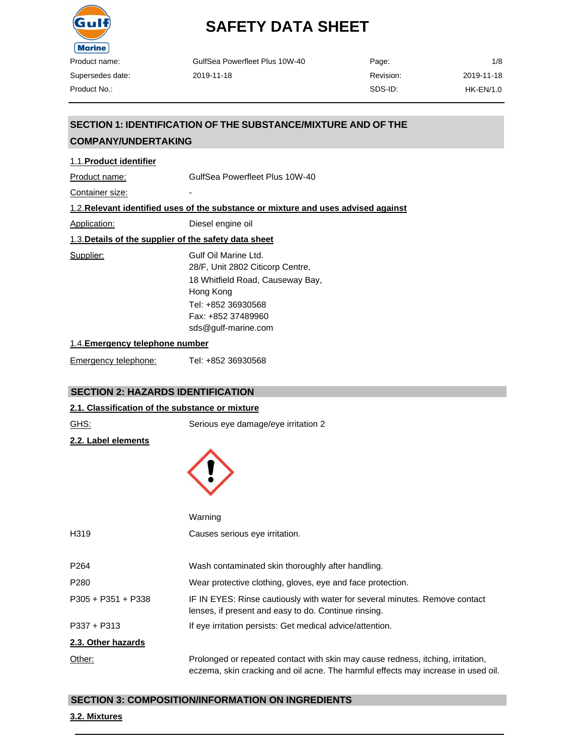

| GulfSea Powerfleet Plus 10W-40 | Page:     | 1/8        |
|--------------------------------|-----------|------------|
| 2019-11-18                     | Revision: | 2019-11-18 |
|                                | SDS-ID:   | HK-EN/1.0  |

# **SECTION 1: IDENTIFICATION OF THE SUBSTANCE/MIXTURE AND OF THE**

# **COMPANY/UNDERTAKING**

| 1.1. Product identifier                               |                                                                                                                                                                              |
|-------------------------------------------------------|------------------------------------------------------------------------------------------------------------------------------------------------------------------------------|
| Product name:                                         | GulfSea Powerfleet Plus 10W-40                                                                                                                                               |
| Container size:                                       |                                                                                                                                                                              |
|                                                       | 1.2. Relevant identified uses of the substance or mixture and uses advised against                                                                                           |
| Application:                                          | Diesel engine oil                                                                                                                                                            |
| 1.3. Details of the supplier of the safety data sheet |                                                                                                                                                                              |
| Supplier:                                             | Gulf Oil Marine Ltd.<br>28/F, Unit 2802 Citicorp Centre,<br>18 Whitfield Road, Causeway Bay,<br>Hong Kong<br>Tel: +852 36930568<br>Fax: +852 37489960<br>sds@gulf-marine.com |
| 1.4. Emergency telephone number                       |                                                                                                                                                                              |

| Emergency telephone: | Tel: +852 36930568 |
|----------------------|--------------------|
|----------------------|--------------------|

# **SECTION 2: HAZARDS IDENTIFICATION**

# **2.1. Classification of the substance or mixture**

| <b>GHS:</b>          | Serious eye damage/eye irritation 2                                                                                                                                  |
|----------------------|----------------------------------------------------------------------------------------------------------------------------------------------------------------------|
| 2.2. Label elements  |                                                                                                                                                                      |
|                      | Warning                                                                                                                                                              |
| H319                 | Causes serious eye irritation.                                                                                                                                       |
| P <sub>264</sub>     | Wash contaminated skin thoroughly after handling.                                                                                                                    |
| P280                 | Wear protective clothing, gloves, eye and face protection.                                                                                                           |
| $P305 + P351 + P338$ | IF IN EYES: Rinse cautiously with water for several minutes. Remove contact<br>lenses, if present and easy to do. Continue rinsing.                                  |
| P337 + P313          | If eye irritation persists: Get medical advice/attention.                                                                                                            |
| 2.3. Other hazards   |                                                                                                                                                                      |
| Other:               | Prolonged or repeated contact with skin may cause redness, itching, irritation,<br>eczema, skin cracking and oil acne. The harmful effects may increase in used oil. |

### **SECTION 3: COMPOSITION/INFORMATION ON INGREDIENTS**

#### **3.2. Mixtures**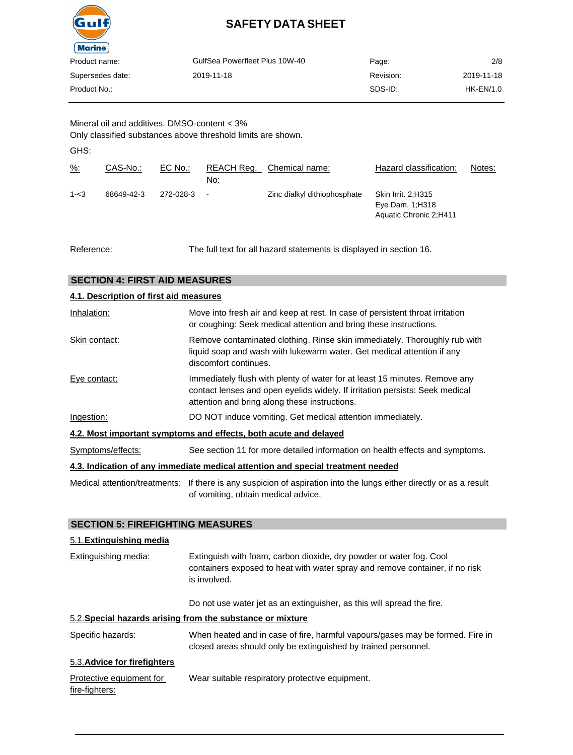

| Product name:    | GulfSea Powerfleet Plus 10W-40 | Page:     | 2/8         |
|------------------|--------------------------------|-----------|-------------|
| Supersedes date: | 2019-11-18                     | Revision: | 2019-11-18  |
| Product No.:-    |                                | SDS-ID:   | $HK-EN/1.0$ |
|                  |                                |           |             |

Mineral oil and additives. DMSO-content < 3% Only classified substances above threshold limits are shown.

GHS:

| $\frac{9}{6}$ : | CAS-No.:   | EC No.:   | REACH Reg.<br>No: | Chemical name:               | Hazard classification:                                           | Notes: |
|-----------------|------------|-----------|-------------------|------------------------------|------------------------------------------------------------------|--------|
| $1 - 3$         | 68649-42-3 | 272-028-3 | $\blacksquare$    | Zinc dialkyl dithiophosphate | Skin Irrit. 2:H315<br>Eye Dam. 1; H318<br>Aquatic Chronic 2;H411 |        |

Reference: The full text for all hazard statements is displayed in section 16.

# **SECTION 4: FIRST AID MEASURES**

| 4.1. Description of first aid measures |                                                                                                                                                                                                             |  |  |
|----------------------------------------|-------------------------------------------------------------------------------------------------------------------------------------------------------------------------------------------------------------|--|--|
| Inhalation:                            | Move into fresh air and keep at rest. In case of persistent throat irritation<br>or coughing: Seek medical attention and bring these instructions.                                                          |  |  |
| Skin contact:                          | Remove contaminated clothing. Rinse skin immediately. Thoroughly rub with<br>liquid soap and wash with lukewarm water. Get medical attention if any<br>discomfort continues.                                |  |  |
| Eye contact:                           | Immediately flush with plenty of water for at least 15 minutes. Remove any<br>contact lenses and open eyelids widely. If irritation persists: Seek medical<br>attention and bring along these instructions. |  |  |
| Ingestion:                             | DO NOT induce vomiting. Get medical attention immediately.                                                                                                                                                  |  |  |
|                                        | 4.2. Most important symptoms and effects, both acute and delayed                                                                                                                                            |  |  |
| Symptoms/effects:                      | See section 11 for more detailed information on health effects and symptoms.                                                                                                                                |  |  |
|                                        | 4.3. Indication of any immediate medical attention and special treatment needed                                                                                                                             |  |  |
|                                        |                                                                                                                                                                                                             |  |  |

Medical attention/treatments: If there is any suspicion of aspiration into the lungs either directly or as a result of vomiting, obtain medical advice.

### **SECTION 5: FIREFIGHTING MEASURES**

### 5.1.**Extinguishing media**

| Extinguishing media:                       | Extinguish with foam, carbon dioxide, dry powder or water fog. Cool<br>containers exposed to heat with water spray and remove container, if no risk<br>is involved. |  |
|--------------------------------------------|---------------------------------------------------------------------------------------------------------------------------------------------------------------------|--|
|                                            | Do not use water jet as an extinguisher, as this will spread the fire.                                                                                              |  |
|                                            | 5.2. Special hazards arising from the substance or mixture                                                                                                          |  |
| Specific hazards:                          | When heated and in case of fire, harmful vapours/gases may be formed. Fire in<br>closed areas should only be extinguished by trained personnel.                     |  |
| 5.3. Advice for firefighters               |                                                                                                                                                                     |  |
| Protective equipment for<br>fire-fighters: | Wear suitable respiratory protective equipment.                                                                                                                     |  |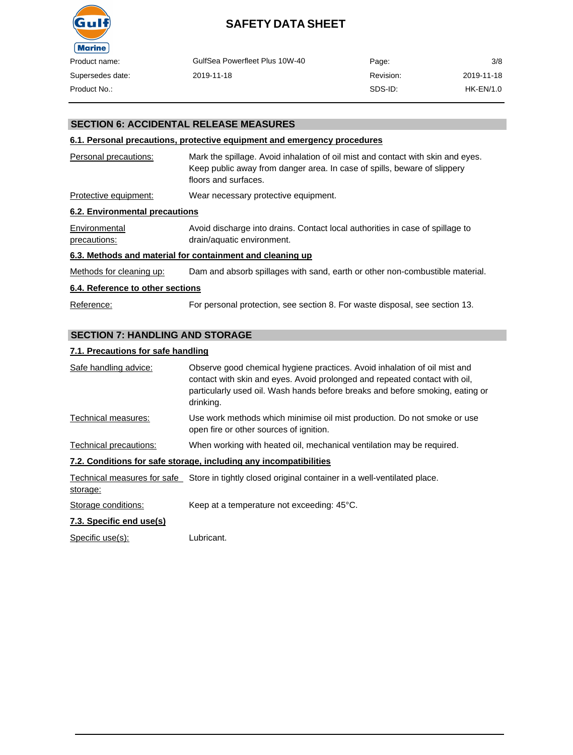

| Product name:    | GulfSea Powerfleet Plus 10W-40 | Page:     | 3/8         |
|------------------|--------------------------------|-----------|-------------|
| Supersedes date: | 2019-11-18                     | Revision: | 2019-11-18  |
| Product No.:-    |                                | SDS-ID:   | $HK-EN/1.0$ |

# **SECTION 6: ACCIDENTAL RELEASE MEASURES**

### **6.1. Personal precautions, protective equipment and emergency procedures**

| Personal precautions:                                     | Mark the spillage. Avoid inhalation of oil mist and contact with skin and eyes.<br>Keep public away from danger area. In case of spills, beware of slippery<br>floors and surfaces. |  |  |
|-----------------------------------------------------------|-------------------------------------------------------------------------------------------------------------------------------------------------------------------------------------|--|--|
| Protective equipment:                                     | Wear necessary protective equipment.                                                                                                                                                |  |  |
| 6.2. Environmental precautions                            |                                                                                                                                                                                     |  |  |
| Environmental<br>precautions:                             | Avoid discharge into drains. Contact local authorities in case of spillage to<br>drain/aquatic environment.                                                                         |  |  |
| 6.3. Methods and material for containment and cleaning up |                                                                                                                                                                                     |  |  |
| Methods for cleaning up:                                  | Dam and absorb spillages with sand, earth or other non-combustible material.                                                                                                        |  |  |

#### **6.4. Reference to other sections**

Reference: For personal protection, see section 8. For waste disposal, see section 13.

### **SECTION 7: HANDLING AND STORAGE**

#### **7.1. Precautions for safe handling**

| Safe handling advice:  | Observe good chemical hygiene practices. Avoid inhalation of oil mist and<br>contact with skin and eyes. Avoid prolonged and repeated contact with oil,<br>particularly used oil. Wash hands before breaks and before smoking, eating or<br>drinking. |
|------------------------|-------------------------------------------------------------------------------------------------------------------------------------------------------------------------------------------------------------------------------------------------------|
| Technical measures:    | Use work methods which minimise oil mist production. Do not smoke or use<br>open fire or other sources of ignition.                                                                                                                                   |
| Technical precautions: | When working with heated oil, mechanical ventilation may be required.                                                                                                                                                                                 |
|                        | 7.2. Conditions for safe storage, including any incompatibilities                                                                                                                                                                                     |
| storage:               | Technical measures for safe Store in tightly closed original container in a well-ventilated place.                                                                                                                                                    |
| Storage conditions:    | Keep at a temperature not exceeding: 45°C.                                                                                                                                                                                                            |

### **7.3. Specific end use(s)**

Specific use(s): Lubricant.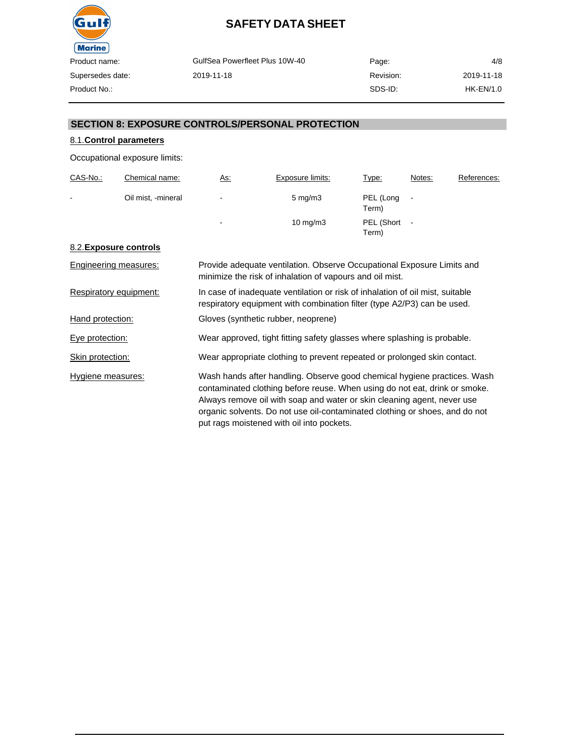

| GulfSea Powerfleet Plus 10W-40 | Page:     | 4/8         |
|--------------------------------|-----------|-------------|
| 2019-11-18                     | Revision: | 2019-11-18  |
|                                | SDS-ID:   | $HK-EN/1.0$ |

## **SECTION 8: EXPOSURE CONTROLS/PERSONAL PROTECTION**

# 8.1.**Control parameters**

Occupational exposure limits:

| CAS-No.:       | Chemical name:     | <u>As:</u>     | Exposure limits:   | Type:               | Notes:         | References: |
|----------------|--------------------|----------------|--------------------|---------------------|----------------|-------------|
| $\blacksquare$ | Oil mist, -mineral | $\blacksquare$ | $5 \text{ mg/m}$ 3 | PEL (Long<br>Term)  | $\blacksquare$ |             |
|                |                    | $\blacksquare$ | $10 \text{ mg/m}$  | PEL (Short<br>Term) | $\blacksquare$ |             |

### 8.2.**Exposure controls**

| Engineering measures:  | Provide adequate ventilation. Observe Occupational Exposure Limits and<br>minimize the risk of inhalation of vapours and oil mist.                                                                                                                                                                                                                            |
|------------------------|---------------------------------------------------------------------------------------------------------------------------------------------------------------------------------------------------------------------------------------------------------------------------------------------------------------------------------------------------------------|
| Respiratory equipment: | In case of inadequate ventilation or risk of inhalation of oil mist, suitable<br>respiratory equipment with combination filter (type A2/P3) can be used.                                                                                                                                                                                                      |
| Hand protection:       | Gloves (synthetic rubber, neoprene)                                                                                                                                                                                                                                                                                                                           |
| Eye protection:        | Wear approved, tight fitting safety glasses where splashing is probable.                                                                                                                                                                                                                                                                                      |
| Skin protection:       | Wear appropriate clothing to prevent repeated or prolonged skin contact.                                                                                                                                                                                                                                                                                      |
| Hygiene measures:      | Wash hands after handling. Observe good chemical hygiene practices. Wash<br>contaminated clothing before reuse. When using do not eat, drink or smoke.<br>Always remove oil with soap and water or skin cleaning agent, never use<br>organic solvents. Do not use oil-contaminated clothing or shoes, and do not<br>put rags moistened with oil into pockets. |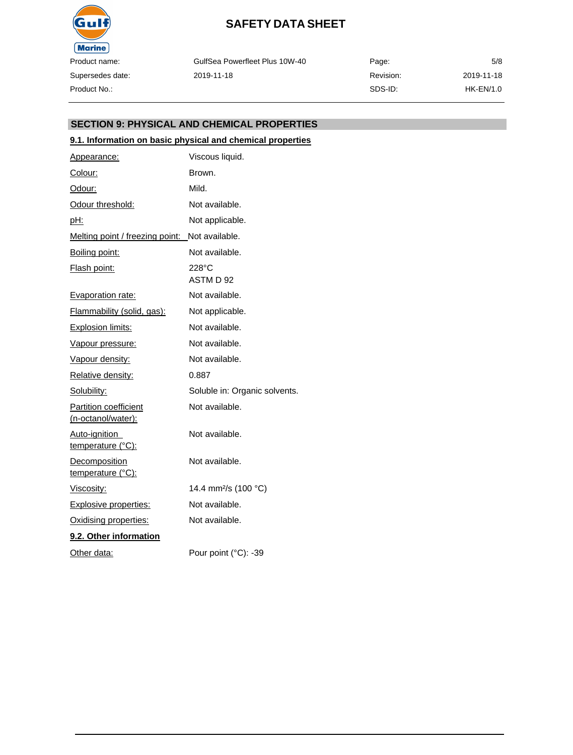

GulfSea Powerfleet Plus 10W-40 2019-11-18

Page: Revision: SDS-ID: 5/8 2019-11-18 HK-EN/1.0

### **SECTION 9: PHYSICAL AND CHEMICAL PROPERTIES**

### **9.1. Information on basic physical and chemical properties**

| Appearance:                                        | Viscous liquid.                  |
|----------------------------------------------------|----------------------------------|
| Colour:                                            | Brown.                           |
| Odour:                                             | Mild.                            |
| Odour threshold:                                   | Not available.                   |
| <u>pH:</u>                                         | Not applicable.                  |
| Melting point / freezing point:                    | Not available.                   |
| Boiling point:                                     | Not available.                   |
| Flash point:                                       | 228°C<br>ASTM D 92               |
| Evaporation rate:                                  | Not available.                   |
| Flammability (solid, gas):                         | Not applicable.                  |
| <b>Explosion limits:</b>                           | Not available.                   |
| Vapour pressure:                                   | Not available.                   |
| Vapour density:                                    | Not available.                   |
| Relative density:                                  | 0.887                            |
| Solubility:                                        | Soluble in: Organic solvents.    |
| <b>Partition coefficient</b><br>(n-octanol/water): | Not available.                   |
| Auto-ignition<br>temperature (°C):                 | Not available.                   |
| Decomposition<br>temperature (°C):                 | Not available.                   |
| Viscosity:                                         | 14.4 mm <sup>2</sup> /s (100 °C) |
| <b>Explosive properties:</b>                       | Not available.                   |
| Oxidising properties:                              | Not available.                   |
| 9.2. Other information                             |                                  |
| Other data:                                        | Pour point (°C): -39             |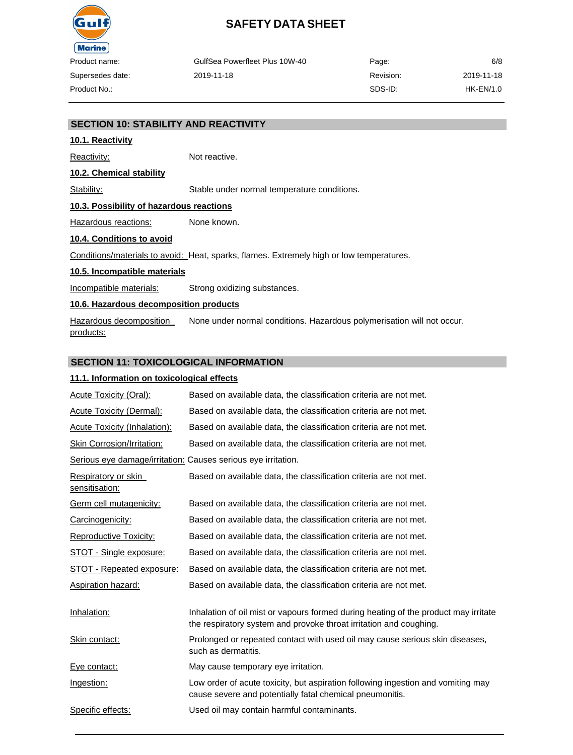

| GulfSea Powerfleet Plus 10W-40 | Page:     | 6/8         |
|--------------------------------|-----------|-------------|
| 2019-11-18                     | Revision: | 2019-11-18  |
|                                | SDS-ID:   | $HK-EN/1.0$ |

### **SECTION 10: STABILITY AND REACTIVITY**

### **10.1. Reactivity**

Reactivity: Not reactive.

**10.2. Chemical stability**

Stability: Stable under normal temperature conditions.

#### **10.3. Possibility of hazardous reactions**

Hazardous reactions: None known.

### **10.4. Conditions to avoid**

Conditions/materials to avoid: Heat, sparks, flames. Extremely high or low temperatures.

#### **10.5. Incompatible materials**

Incompatible materials: Strong oxidizing substances.

### **10.6. Hazardous decomposition products**

Hazardous decomposition products: None under normal conditions. Hazardous polymerisation will not occur.

#### **SECTION 11: TOXICOLOGICAL INFORMATION**

### **11.1. Information on toxicological effects**

| <b>Acute Toxicity (Oral):</b>                                 | Based on available data, the classification criteria are not met.                                                                                         |
|---------------------------------------------------------------|-----------------------------------------------------------------------------------------------------------------------------------------------------------|
| <b>Acute Toxicity (Dermal):</b>                               | Based on available data, the classification criteria are not met.                                                                                         |
| <b>Acute Toxicity (Inhalation):</b>                           | Based on available data, the classification criteria are not met.                                                                                         |
| <b>Skin Corrosion/Irritation:</b>                             | Based on available data, the classification criteria are not met.                                                                                         |
| Serious eye damage/irritation: Causes serious eye irritation. |                                                                                                                                                           |
| Respiratory or skin<br>sensitisation:                         | Based on available data, the classification criteria are not met.                                                                                         |
| Germ cell mutagenicity:                                       | Based on available data, the classification criteria are not met.                                                                                         |
| Carcinogenicity:                                              | Based on available data, the classification criteria are not met.                                                                                         |
| Reproductive Toxicity:                                        | Based on available data, the classification criteria are not met.                                                                                         |
| STOT - Single exposure:                                       | Based on available data, the classification criteria are not met.                                                                                         |
| STOT - Repeated exposure:                                     | Based on available data, the classification criteria are not met.                                                                                         |
| <b>Aspiration hazard:</b>                                     | Based on available data, the classification criteria are not met.                                                                                         |
| Inhalation:                                                   | Inhalation of oil mist or vapours formed during heating of the product may irritate<br>the respiratory system and provoke throat irritation and coughing. |
| Skin contact:                                                 | Prolonged or repeated contact with used oil may cause serious skin diseases,<br>such as dermatitis.                                                       |
| Eye contact:                                                  | May cause temporary eye irritation.                                                                                                                       |
| Ingestion:                                                    | Low order of acute toxicity, but aspiration following ingestion and vomiting may<br>cause severe and potentially fatal chemical pneumonitis.              |
| Specific effects:                                             | Used oil may contain harmful contaminants.                                                                                                                |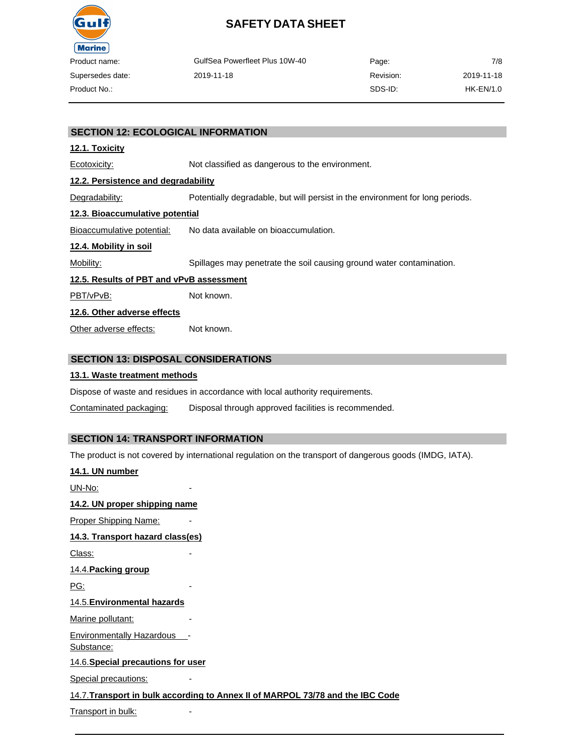

| oduct name:     | GulfSea Powerfleet Plus 10W-40 | Page:     | 7/8        |
|-----------------|--------------------------------|-----------|------------|
| ipersedes date: | 2019-11-18                     | Revision: | 2019-11-18 |
| oduct No.:      |                                | SDS-ID:   | HK-EN/1.0  |

### **SECTION 12: ECOLOGICAL INFORMATION**

### **12.1. Toxicity**

Ecotoxicity: Not classified as dangerous to the environment. **12.2. Persistence and degradability** Degradability: Potentially degradable, but will persist in the environment for long periods. **12.3. Bioaccumulative potential**

Bioaccumulative potential: No data available on bioaccumulation.

### **12.4. Mobility in soil**

Mobility: Spillages may penetrate the soil causing ground water contamination.

#### **12.5. Results of PBT and vPvB assessment**

PBT/vPvB: Not known.

### **12.6. Other adverse effects**

Other adverse effects: Not known.

### **SECTION 13: DISPOSAL CONSIDERATIONS**

### **13.1. Waste treatment methods**

Dispose of waste and residues in accordance with local authority requirements.

Contaminated packaging: Disposal through approved facilities is recommended.

# **SECTION 14: TRANSPORT INFORMATION**

The product is not covered by international regulation on the transport of dangerous goods (IMDG, IATA).

| 14.1. UN number                                |                                                                                |
|------------------------------------------------|--------------------------------------------------------------------------------|
| UN-No:                                         |                                                                                |
| 14.2. UN proper shipping name                  |                                                                                |
| <b>Proper Shipping Name:</b>                   |                                                                                |
| 14.3. Transport hazard class(es)               |                                                                                |
| Class:                                         |                                                                                |
| 14.4. Packing group                            |                                                                                |
| <u>PG:</u>                                     |                                                                                |
| 14.5. Environmental hazards                    |                                                                                |
| Marine pollutant:                              |                                                                                |
| <b>Environmentally Hazardous</b><br>Substance: |                                                                                |
| 14.6. Special precautions for user             |                                                                                |
| <b>Special precautions:</b>                    |                                                                                |
|                                                | 14.7. Transport in bulk according to Annex II of MARPOL 73/78 and the IBC Code |
| Transport in bulk:                             |                                                                                |